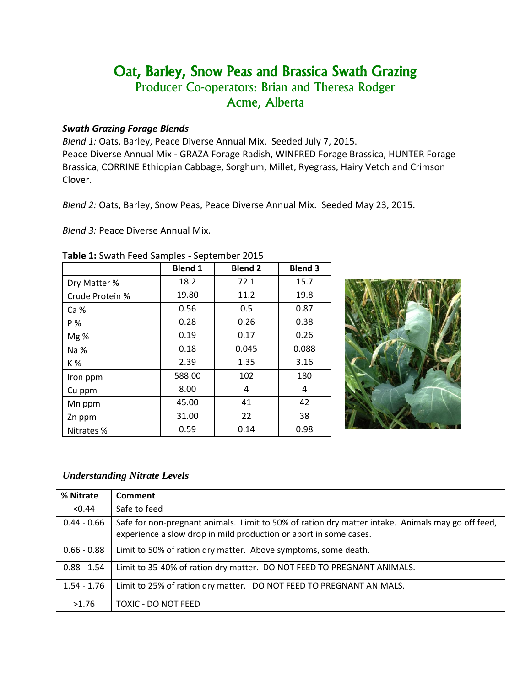# Oat, Barley, Snow Peas and Brassica Swath Grazing Producer Co-operators: Brian and Theresa Rodger Acme, Alberta

## *Swath Grazing Forage Blends*

*Blend 1:* Oats, Barley, Peace Diverse Annual Mix. Seeded July 7, 2015. Peace Diverse Annual Mix - GRAZA Forage Radish, WINFRED Forage Brassica, HUNTER Forage Brassica, CORRINE Ethiopian Cabbage, Sorghum, Millet, Ryegrass, Hairy Vetch and Crimson Clover.

*Blend 2:* Oats, Barley, Snow Peas, Peace Diverse Annual Mix. Seeded May 23, 2015.

*Blend 3:* Peace Diverse Annual Mix.

|                 | <b>Blend 1</b> | <b>Blend 2</b> | <b>Blend 3</b> |
|-----------------|----------------|----------------|----------------|
| Dry Matter %    | 18.2           | 72.1           | 15.7           |
| Crude Protein % | 19.80          | 11.2           | 19.8           |
| Ca %            | 0.56           | 0.5            | 0.87           |
| P%              | 0.28           | 0.26           | 0.38           |
| Mg %            | 0.19           | 0.17           | 0.26           |
| Na %            | 0.18           | 0.045          | 0.088          |
| K %             | 2.39           | 1.35           | 3.16           |
| Iron ppm        | 588.00         | 102            | 180            |
| Cu ppm          | 8.00           | 4              | 4              |
| Mn ppm          | 45.00          | 41             | 42             |
| Zn ppm          | 31.00          | 22             | 38             |
| Nitrates %      | 0.59           | 0.14           | 0.98           |

#### **Table 1:** Swath Feed Samples - September 2015



### *Understanding Nitrate Levels*

| % Nitrate     | Comment                                                                                                                                                                |
|---------------|------------------------------------------------------------------------------------------------------------------------------------------------------------------------|
| < 0.44        | Safe to feed                                                                                                                                                           |
| $0.44 - 0.66$ | Safe for non-pregnant animals. Limit to 50% of ration dry matter intake. Animals may go off feed,<br>experience a slow drop in mild production or abort in some cases. |
| $0.66 - 0.88$ | Limit to 50% of ration dry matter. Above symptoms, some death.                                                                                                         |
| $0.88 - 1.54$ | Limit to 35-40% of ration dry matter. DO NOT FEED TO PREGNANT ANIMALS.                                                                                                 |
| $1.54 - 1.76$ | Limit to 25% of ration dry matter. DO NOT FEED TO PREGNANT ANIMALS.                                                                                                    |
| >1.76         | TOXIC - DO NOT FEED                                                                                                                                                    |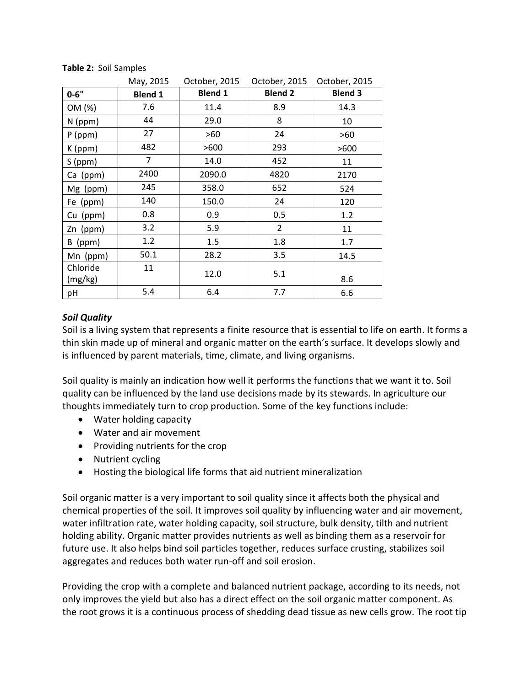|                     | May, 2015      | October, 2015  | October, 2015  | October, 2015  |
|---------------------|----------------|----------------|----------------|----------------|
| $0 - 6"$            | <b>Blend 1</b> | <b>Blend 1</b> | <b>Blend 2</b> | <b>Blend 3</b> |
| OM (%)              | 7.6            | 11.4           | 8.9            | 14.3           |
| $N$ (ppm)           | 44             | 29.0           | 8              | 10             |
| $P$ (ppm)           | 27             | >60            | 24             | >60            |
| K (ppm)             | 482            | >600           | 293            | >600           |
| $S$ (ppm)           | 7              | 14.0           | 452            | 11             |
| Ca (ppm)            | 2400           | 2090.0         | 4820           | 2170           |
| Mg (ppm)            | 245            | 358.0          | 652            | 524            |
| Fe (ppm)            | 140            | 150.0          | 24             | 120            |
| Cu (ppm)            | 0.8            | 0.9            | 0.5            | 1.2            |
| Zn (ppm)            | 3.2            | 5.9            | $\overline{2}$ | 11             |
| B (ppm)             | 1.2            | 1.5            | 1.8            | 1.7            |
| Mn (ppm)            | 50.1           | 28.2           | 3.5            | 14.5           |
| Chloride<br>(mg/kg) | 11             | 12.0           | 5.1            | 8.6            |
| pH                  | 5.4            | 6.4            | 7.7            | 6.6            |

#### **Table 2:** Soil Samples

# *Soil Quality*

Soil is a living system that represents a finite resource that is essential to life on earth. It forms a thin skin made up of mineral and organic matter on the earth's surface. It develops slowly and is influenced by parent materials, time, climate, and living organisms.

Soil quality is mainly an indication how well it performs the functions that we want it to. Soil quality can be influenced by the land use decisions made by its stewards. In agriculture our thoughts immediately turn to crop production. Some of the key functions include:

- Water holding capacity
- Water and air movement
- Providing nutrients for the crop
- Nutrient cycling
- Hosting the biological life forms that aid nutrient mineralization

Soil organic matter is a very important to soil quality since it affects both the physical and chemical properties of the soil. It improves soil quality by influencing water and air movement, water infiltration rate, water holding capacity, soil structure, bulk density, tilth and nutrient holding ability. Organic matter provides nutrients as well as binding them as a reservoir for future use. It also helps bind soil particles together, reduces surface crusting, stabilizes soil aggregates and reduces both water run-off and soil erosion.

Providing the crop with a complete and balanced nutrient package, according to its needs, not only improves the yield but also has a direct effect on the soil organic matter component. As the root grows it is a continuous process of shedding dead tissue as new cells grow. The root tip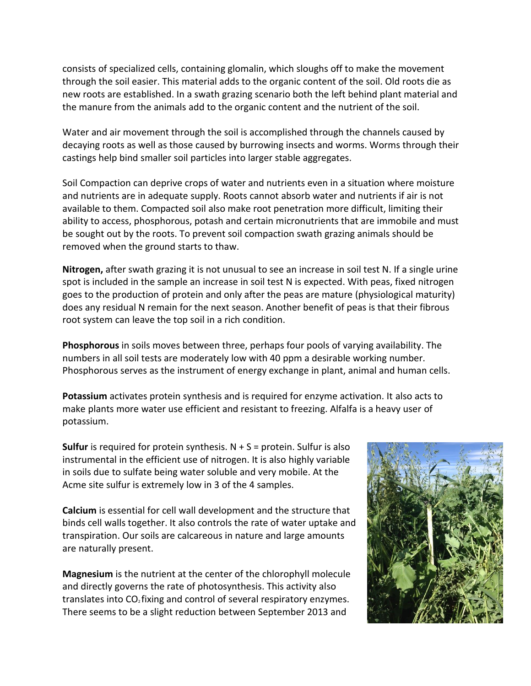consists of specialized cells, containing glomalin, which sloughs off to make the movement through the soil easier. This material adds to the organic content of the soil. Old roots die as new roots are established. In a swath grazing scenario both the left behind plant material and the manure from the animals add to the organic content and the nutrient of the soil.

Water and air movement through the soil is accomplished through the channels caused by decaying roots as well as those caused by burrowing insects and worms. Worms through their castings help bind smaller soil particles into larger stable aggregates.

Soil Compaction can deprive crops of water and nutrients even in a situation where moisture and nutrients are in adequate supply. Roots cannot absorb water and nutrients if air is not available to them. Compacted soil also make root penetration more difficult, limiting their ability to access, phosphorous, potash and certain micronutrients that are immobile and must be sought out by the roots. To prevent soil compaction swath grazing animals should be removed when the ground starts to thaw.

**Nitrogen,** after swath grazing it is not unusual to see an increase in soil test N. If a single urine spot is included in the sample an increase in soil test N is expected. With peas, fixed nitrogen goes to the production of protein and only after the peas are mature (physiological maturity) does any residual N remain for the next season. Another benefit of peas is that their fibrous root system can leave the top soil in a rich condition.

**Phosphorous** in soils moves between three, perhaps four pools of varying availability. The numbers in all soil tests are moderately low with 40 ppm a desirable working number. Phosphorous serves as the instrument of energy exchange in plant, animal and human cells.

**Potassium** activates protein synthesis and is required for enzyme activation. It also acts to make plants more water use efficient and resistant to freezing. Alfalfa is a heavy user of potassium.

**Sulfur** is required for protein synthesis.  $N + S =$  protein. Sulfur is also instrumental in the efficient use of nitrogen. It is also highly variable in soils due to sulfate being water soluble and very mobile. At the Acme site sulfur is extremely low in 3 of the 4 samples.

**Calcium** is essential for cell wall development and the structure that binds cell walls together. It also controls the rate of water uptake and transpiration. Our soils are calcareous in nature and large amounts are naturally present.

**Magnesium** is the nutrient at the center of the chlorophyll molecule and directly governs the rate of photosynthesis. This activity also translates into  $CO<sub>2</sub>$  fixing and control of several respiratory enzymes. There seems to be a slight reduction between September 2013 and